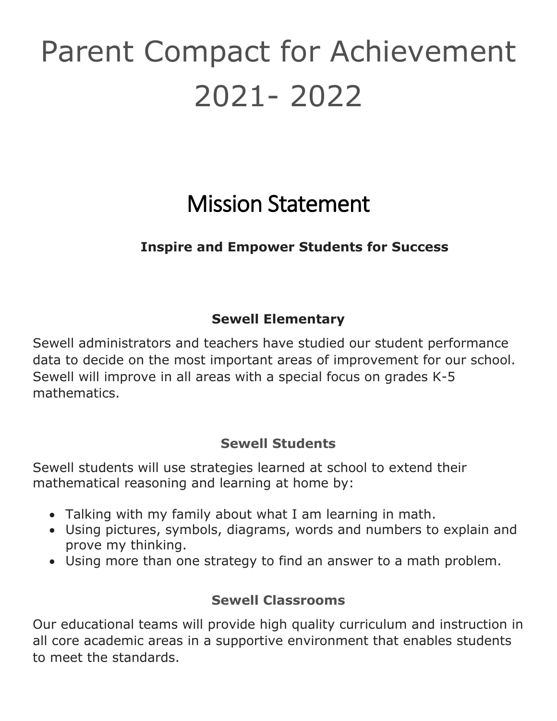# Parent Compact for Achievement 2021- 2022

# Mission Statement

## **Inspire and Empower Students for Success**

# **Sewell Elementary**

Sewell administrators and teachers have studied our student performance data to decide on the most important areas of improvement for our school. Sewell will improve in all areas with a special focus on grades K-5 mathematics.

#### **Sewell Students**

Sewell students will use strategies learned at school to extend their mathematical reasoning and learning at home by:

- Talking with my family about what I am learning in math.
- Using pictures, symbols, diagrams, words and numbers to explain and prove my thinking.
- Using more than one strategy to find an answer to a math problem.

### **Sewell Classrooms**

Our educational teams will provide high quality curriculum and instruction in all core academic areas in a supportive environment that enables students to meet the standards.